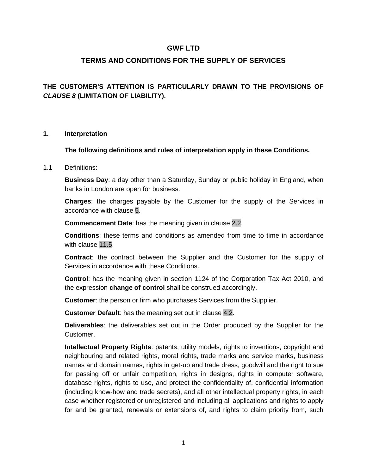# **GWF LTD**

# **TERMS AND CONDITIONS FOR THE SUPPLY OF SERVICES**

# **THE CUSTOMER'S ATTENTION IS PARTICULARLY DRAWN TO THE PROVISIONS OF**  *CLAUSE 8* **(LIMITATION OF LIABILITY).**

#### **1. Interpretation**

#### **The following definitions and rules of interpretation apply in these Conditions.**

#### 1.1 Definitions:

**Business Day**: a day other than a Saturday, Sunday or public holiday in England, when banks in London are open for business.

**Charges**: the charges payable by the Customer for the supply of the Services in accordance with [clause 5.](#page-3-0)

**Commencement Date**: has the meaning given in [clause 2.2.](#page-1-0)

**Conditions**: these terms and conditions as amended from time to time in accordance with [clause 11.5.](#page-11-0)

**Contract**: the contract between the Supplier and the Customer for the supply of Services in accordance with these Conditions.

**Control**: has the meaning given in section 1124 of the Corporation Tax Act 2010, and the expression **change of control** shall be construed accordingly.

**Customer**: the person or firm who purchases Services from the Supplier.

**Customer Default**: has the meaning set out in [clause 4.2.](#page-3-1)

**Deliverables**: the deliverables set out in the Order produced by the Supplier for the Customer.

**Intellectual Property Rights**: patents, utility models, rights to inventions, copyright and neighbouring and related rights, moral rights, trade marks and service marks, business names and domain names, rights in get-up and trade dress, goodwill and the right to sue for passing off or unfair competition, rights in designs, rights in computer software, database rights, rights to use, and protect the confidentiality of, confidential information (including know-how and trade secrets), and all other intellectual property rights, in each case whether registered or unregistered and including all applications and rights to apply for and be granted, renewals or extensions of, and rights to claim priority from, such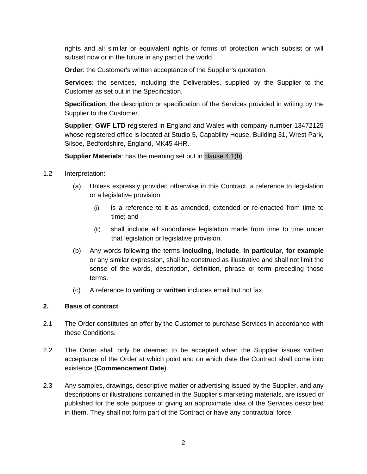rights and all similar or equivalent rights or forms of protection which subsist or will subsist now or in the future in any part of the world.

**Order**: the Customer's written acceptance of the Supplier's quotation.

**Services**: the services, including the Deliverables, supplied by the Supplier to the Customer as set out in the Specification.

**Specification**: the description or specification of the Services provided in writing by the Supplier to the Customer.

**Supplier**: **GWF LTD** registered in England and Wales with company number 13472125 whose registered office is located at Studio 5, Capability House, Building 31, Wrest Park, Silsoe, Bedfordshire, England, MK45 4HR.

**Supplier Materials**: has the meaning set out in [clause 4.1\(h\).](#page-3-2)

- 1.2 Interpretation:
	- (a) Unless expressly provided otherwise in this Contract, a reference to legislation or a legislative provision:
		- (i) is a reference to it as amended, extended or re-enacted from time to time; and
		- (ii) shall include all subordinate legislation made from time to time under that legislation or legislative provision.
	- (b) Any words following the terms **including**, **include**, **in particular**, **for example** or any similar expression, shall be construed as illustrative and shall not limit the sense of the words, description, definition, phrase or term preceding those terms.
	- (c) A reference to **writing** or **written** includes email but not fax.

# **2. Basis of contract**

- 2.1 The Order constitutes an offer by the Customer to purchase Services in accordance with these Conditions.
- <span id="page-1-0"></span>2.2 The Order shall only be deemed to be accepted when the Supplier issues written acceptance of the Order at which point and on which date the Contract shall come into existence (**Commencement Date**).
- 2.3 Any samples, drawings, descriptive matter or advertising issued by the Supplier, and any descriptions or illustrations contained in the Supplier's marketing materials, are issued or published for the sole purpose of giving an approximate idea of the Services described in them. They shall not form part of the Contract or have any contractual force.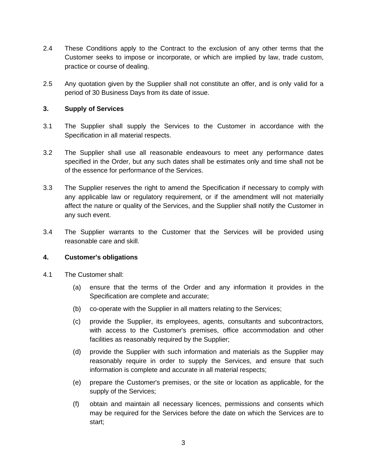- 2.4 These Conditions apply to the Contract to the exclusion of any other terms that the Customer seeks to impose or incorporate, or which are implied by law, trade custom, practice or course of dealing.
- 2.5 Any quotation given by the Supplier shall not constitute an offer, and is only valid for a period of 30 Business Days from its date of issue.

#### <span id="page-2-0"></span>**3. Supply of Services**

- 3.1 The Supplier shall supply the Services to the Customer in accordance with the Specification in all material respects.
- 3.2 The Supplier shall use all reasonable endeavours to meet any performance dates specified in the Order, but any such dates shall be estimates only and time shall not be of the essence for performance of the Services.
- 3.3 The Supplier reserves the right to amend the Specification if necessary to comply with any applicable law or regulatory requirement, or if the amendment will not materially affect the nature or quality of the Services, and the Supplier shall notify the Customer in any such event.
- 3.4 The Supplier warrants to the Customer that the Services will be provided using reasonable care and skill.

#### **4. Customer's obligations**

- 4.1 The Customer shall:
	- (a) ensure that the terms of the Order and any information it provides in the Specification are complete and accurate;
	- (b) co-operate with the Supplier in all matters relating to the Services;
	- (c) provide the Supplier, its employees, agents, consultants and subcontractors, with access to the Customer's premises, office accommodation and other facilities as reasonably required by the Supplier;
	- (d) provide the Supplier with such information and materials as the Supplier may reasonably require in order to supply the Services, and ensure that such information is complete and accurate in all material respects;
	- (e) prepare the Customer's premises, or the site or location as applicable, for the supply of the Services;
	- (f) obtain and maintain all necessary licences, permissions and consents which may be required for the Services before the date on which the Services are to start;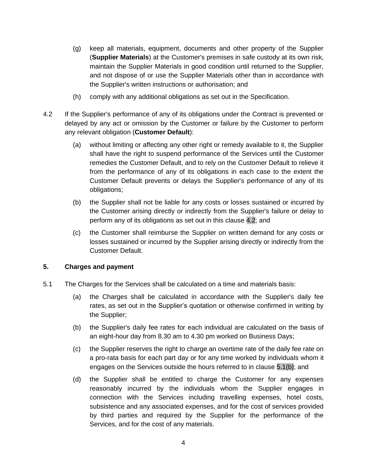- <span id="page-3-2"></span>(g) keep all materials, equipment, documents and other property of the Supplier (**Supplier Materials**) at the Customer's premises in safe custody at its own risk, maintain the Supplier Materials in good condition until returned to the Supplier, and not dispose of or use the Supplier Materials other than in accordance with the Supplier's written instructions or authorisation; and
- (h) comply with any additional obligations as set out in the Specification.
- <span id="page-3-1"></span>4.2 If the Supplier's performance of any of its obligations under the Contract is prevented or delayed by any act or omission by the Customer or failure by the Customer to perform any relevant obligation (**Customer Default**):
	- (a) without limiting or affecting any other right or remedy available to it, the Supplier shall have the right to suspend performance of the Services until the Customer remedies the Customer Default, and to rely on the Customer Default to relieve it from the performance of any of its obligations in each case to the extent the Customer Default prevents or delays the Supplier's performance of any of its obligations;
	- (b) the Supplier shall not be liable for any costs or losses sustained or incurred by the Customer arising directly or indirectly from the Supplier's failure or delay to perform any of its obligations as set out in this [clause 4.2;](#page-3-1) and
	- (c) the Customer shall reimburse the Supplier on written demand for any costs or losses sustained or incurred by the Supplier arising directly or indirectly from the Customer Default.

# <span id="page-3-0"></span>**5. Charges and payment**

- <span id="page-3-3"></span>5.1 The Charges for the Services shall be calculated on a time and materials basis:
	- (a) the Charges shall be calculated in accordance with the Supplier's daily fee rates, as set out in the Supplier's quotation or otherwise confirmed in writing by the Supplier;
	- (b) the Supplier's daily fee rates for each individual are calculated on the basis of an eight-hour day from 8.30 am to 4.30 pm worked on Business Days;
	- (c) the Supplier reserves the right to charge an overtime rate of the daily fee rate on a pro-rata basis for each part day or for any time worked by individuals whom it engages on the Services outside the hours referred to in [clause 5.1\(b\);](#page-3-3) and
	- (d) the Supplier shall be entitled to charge the Customer for any expenses reasonably incurred by the individuals whom the Supplier engages in connection with the Services including travelling expenses, hotel costs, subsistence and any associated expenses, and for the cost of services provided by third parties and required by the Supplier for the performance of the Services, and for the cost of any materials.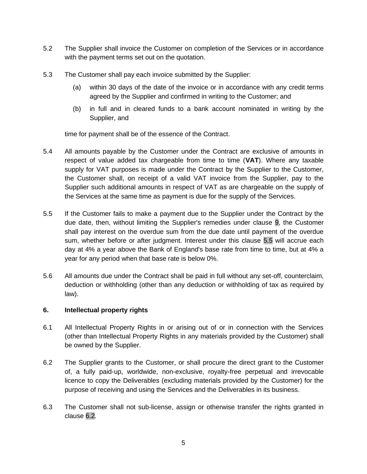- 5.2 The Supplier shall invoice the Customer on completion of the Services or in accordance with the payment terms set out on the quotation.
- 5.3 The Customer shall pay each invoice submitted by the Supplier:
	- (a) within 30 days of the date of the invoice or in accordance with any credit terms agreed by the Supplier and confirmed in writing to the Customer; and
	- (b) in full and in cleared funds to a bank account nominated in writing by the Supplier, and

time for payment shall be of the essence of the Contract.

- 5.4 All amounts payable by the Customer under the Contract are exclusive of amounts in respect of value added tax chargeable from time to time (**VAT**). Where any taxable supply for VAT purposes is made under the Contract by the Supplier to the Customer, the Customer shall, on receipt of a valid VAT invoice from the Supplier, pay to the Supplier such additional amounts in respect of VAT as are chargeable on the supply of the Services at the same time as payment is due for the supply of the Services.
- <span id="page-4-0"></span>5.5 If the Customer fails to make a payment due to the Supplier under the Contract by the due date, then, without limiting the Supplier's remedies under [clause 9,](#page-8-0) the Customer shall pay interest on the overdue sum from the due date until payment of the overdue sum, whether before or after judgment. Interest under this [clause 5.5](#page-4-0) will accrue each day at 4% a year above the Bank of England's base rate from time to time, but at 4% a year for any period when that base rate is below 0%.
- 5.6 All amounts due under the Contract shall be paid in full without any set-off, counterclaim, deduction or withholding (other than any deduction or withholding of tax as required by law).

# **6. Intellectual property rights**

- 6.1 All Intellectual Property Rights in or arising out of or in connection with the Services (other than Intellectual Property Rights in any materials provided by the Customer) shall be owned by the Supplier.
- <span id="page-4-1"></span>6.2 The Supplier grants to the Customer, or shall procure the direct grant to the Customer of, a fully paid-up, worldwide, non-exclusive, royalty-free perpetual and irrevocable licence to copy the Deliverables (excluding materials provided by the Customer) for the purpose of receiving and using the Services and the Deliverables in its business.
- 6.3 The Customer shall not sub-license, assign or otherwise transfer the rights granted in [clause](#page-4-1) [6.2](#page-4-1)*.*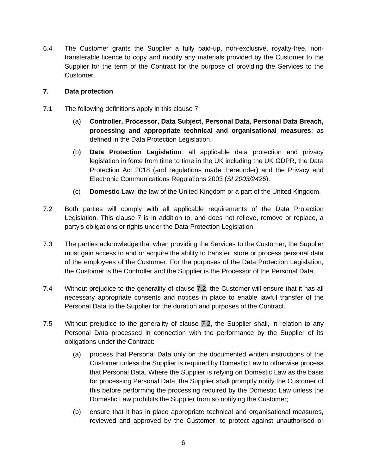6.4 The Customer grants the Supplier a fully paid-up, non-exclusive, royalty-free, nontransferable licence to copy and modify any materials provided by the Customer to the Supplier for the term of the Contract for the purpose of providing the Services to the Customer.

# **7. Data protection**

- 7.1 The following definitions apply in this clause 7:
	- (a) **Controller, Processor, Data Subject, Personal Data, Personal Data Breach, processing and appropriate technical and organisational measures**: as defined in the Data Protection Legislation.
	- (b) **Data Protection Legislation**: all applicable data protection and privacy legislation in force from time to time in the UK including the UK GDPR, the Data Protection Act 2018 (and regulations made thereunder) and the Privacy and Electronic Communications Regulations 2003 (*SI 2003/2426*).
	- (c) **Domestic Law**: the law of the United Kingdom or a part of the United Kingdom.
- <span id="page-5-0"></span>7.2 Both parties will comply with all applicable requirements of the Data Protection Legislation. This clause 7 is in addition to, and does not relieve, remove or replace, a party's obligations or rights under the Data Protection Legislation.
- 7.3 The parties acknowledge that when providing the Services to the Customer, the Supplier must gain access to and or acquire the ability to transfer, store or process personal data of the employees of the Customer. For the purposes of the Data Protection Legislation, the Customer is the Controller and the Supplier is the Processor of the Personal Data.
- 7.4 Without prejudice to the generality of [clause 7.2,](#page-5-0) the Customer will ensure that it has all necessary appropriate consents and notices in place to enable lawful transfer of the Personal Data to the Supplier for the duration and purposes of the Contract.
- 7.5 Without prejudice to the generality of [clause 7.2,](#page-5-0) the Supplier shall, in relation to any Personal Data processed in connection with the performance by the Supplier of its obligations under the Contract:
	- (a) process that Personal Data only on the documented written instructions of the Customer unless the Supplier is required by Domestic Law to otherwise process that Personal Data. Where the Supplier is relying on Domestic Law as the basis for processing Personal Data, the Supplier shall promptly notify the Customer of this before performing the processing required by the Domestic Law unless the Domestic Law prohibits the Supplier from so notifying the Customer;
	- (b) ensure that it has in place appropriate technical and organisational measures, reviewed and approved by the Customer, to protect against unauthorised or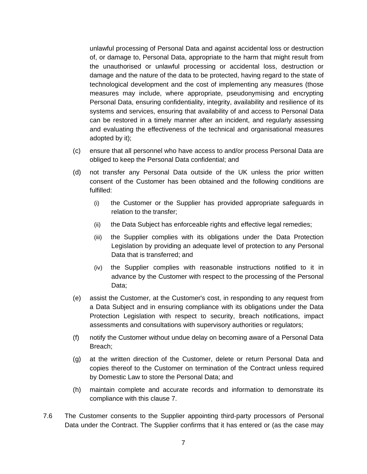unlawful processing of Personal Data and against accidental loss or destruction of, or damage to, Personal Data, appropriate to the harm that might result from the unauthorised or unlawful processing or accidental loss, destruction or damage and the nature of the data to be protected, having regard to the state of technological development and the cost of implementing any measures (those measures may include, where appropriate, pseudonymising and encrypting Personal Data, ensuring confidentiality, integrity, availability and resilience of its systems and services, ensuring that availability of and access to Personal Data can be restored in a timely manner after an incident, and regularly assessing and evaluating the effectiveness of the technical and organisational measures adopted by it);

- (c) ensure that all personnel who have access to and/or process Personal Data are obliged to keep the Personal Data confidential; and
- (d) not transfer any Personal Data outside of the UK unless the prior written consent of the Customer has been obtained and the following conditions are fulfilled:
	- (i) the Customer or the Supplier has provided appropriate safeguards in relation to the transfer;
	- (ii) the Data Subject has enforceable rights and effective legal remedies;
	- (iii) the Supplier complies with its obligations under the Data Protection Legislation by providing an adequate level of protection to any Personal Data that is transferred; and
	- (iv) the Supplier complies with reasonable instructions notified to it in advance by the Customer with respect to the processing of the Personal Data;
- (e) assist the Customer, at the Customer's cost, in responding to any request from a Data Subject and in ensuring compliance with its obligations under the Data Protection Legislation with respect to security, breach notifications, impact assessments and consultations with supervisory authorities or regulators;
- (f) notify the Customer without undue delay on becoming aware of a Personal Data Breach;
- (g) at the written direction of the Customer, delete or return Personal Data and copies thereof to the Customer on termination of the Contract unless required by Domestic Law to store the Personal Data; and
- (h) maintain complete and accurate records and information to demonstrate its compliance with this clause 7.
- <span id="page-6-0"></span>7.6 The Customer consents to the Supplier appointing third-party processors of Personal Data under the Contract. The Supplier confirms that it has entered or (as the case may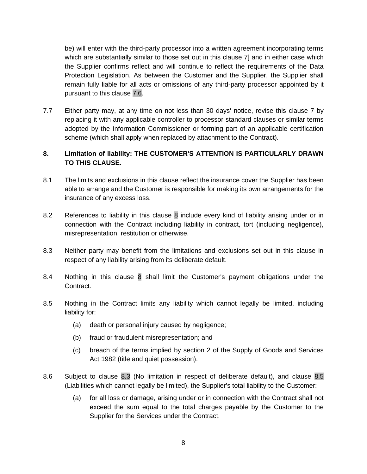be) will enter with the third-party processor into a written agreement incorporating terms which are substantially similar to those set out in this clause 7] and in either case which the Supplier confirms reflect and will continue to reflect the requirements of the Data Protection Legislation. As between the Customer and the Supplier, the Supplier shall remain fully liable for all acts or omissions of any third-party processor appointed by it pursuant to this [clause 7.6.](#page-6-0)

7.7 Either party may, at any time on not less than 30 days' notice, revise this clause 7 by replacing it with any applicable controller to processor standard clauses or similar terms adopted by the Information Commissioner or forming part of an applicable certification scheme (which shall apply when replaced by attachment to the Contract).

# <span id="page-7-0"></span>**8. Limitation of liability: THE CUSTOMER'S ATTENTION IS PARTICULARLY DRAWN TO THIS CLAUSE.**

- 8.1 The limits and exclusions in this clause reflect the insurance cover the Supplier has been able to arrange and the Customer is responsible for making its own arrangements for the insurance of any excess loss.
- 8.2 References to liability in this [clause 8](#page-7-0) include every kind of liability arising under or in connection with the Contract including liability in contract, tort (including negligence), misrepresentation, restitution or otherwise.
- <span id="page-7-1"></span>8.3 Neither party may benefit from the limitations and exclusions set out in this clause in respect of any liability arising from its deliberate default.
- <span id="page-7-3"></span>8.4 Nothing in this [clause 8](#page-7-0) shall limit the Customer's payment obligations under the Contract.
- <span id="page-7-2"></span>8.5 Nothing in the Contract limits any liability which cannot legally be limited, including liability for:
	- (a) death or personal injury caused by negligence;
	- (b) fraud or fraudulent misrepresentation; and
	- (c) breach of the terms implied by section 2 of the Supply of Goods and Services Act 1982 (title and quiet possession).
- 8.6 Subject to [clause 8.3](#page-7-1) (No limitation in respect of deliberate default), and [clause 8.5](#page-7-2) (Liabilities which cannot legally be limited), the Supplier's total liability to the Customer:
	- (a) for all loss or damage, arising under or in connection with the Contract shall not exceed the sum equal to the total charges payable by the Customer to the Supplier for the Services under the Contract.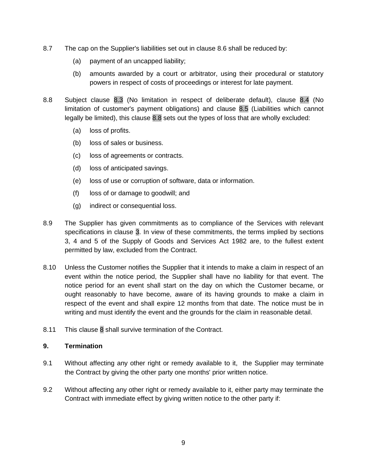- 8.7 The cap on the Supplier's liabilities set out in clause 8.6 shall be reduced by:
	- (a) payment of an uncapped liability;
	- (b) amounts awarded by a court or arbitrator, using their procedural or statutory powers in respect of costs of proceedings or interest for late payment.
- <span id="page-8-1"></span>8.8 Subject [clause 8.3](#page-7-1) (No limitation in respect of deliberate default), [clause 8.4](#page-7-3) (No limitation of customer's payment obligations) and [clause 8.5](#page-7-2) (Liabilities which cannot legally be limited), this [clause 8.8](#page-8-1) sets out the types of loss that are wholly excluded:
	- (a) loss of profits.
	- (b) loss of sales or business.
	- (c) loss of agreements or contracts.
	- (d) loss of anticipated savings.
	- (e) loss of use or corruption of software, data or information.
	- (f) loss of or damage to goodwill; and
	- (g) indirect or consequential loss.
- 8.9 The Supplier has given commitments as to compliance of the Services with relevant specifications in [clause 3.](#page-2-0) In view of these commitments, the terms implied by sections 3, 4 and 5 of the Supply of Goods and Services Act 1982 are, to the fullest extent permitted by law, excluded from the Contract.
- 8.10 Unless the Customer notifies the Supplier that it intends to make a claim in respect of an event within the notice period, the Supplier shall have no liability for that event. The notice period for an event shall start on the day on which the Customer became, or ought reasonably to have become, aware of its having grounds to make a claim in respect of the event and shall expire 12 months from that date. The notice must be in writing and must identify the event and the grounds for the claim in reasonable detail.
- 8.11 This [clause 8](#page-7-0) shall survive termination of the Contract.

# <span id="page-8-0"></span>**9. Termination**

- 9.1 Without affecting any other right or remedy available to it, the Supplier may terminate the Contract by giving the other party one months' prior written notice.
- 9.2 Without affecting any other right or remedy available to it, either party may terminate the Contract with immediate effect by giving written notice to the other party if: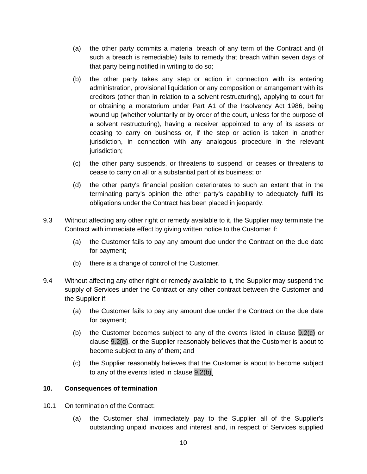- (a) the other party commits a material breach of any term of the Contract and (if such a breach is remediable) fails to remedy that breach within seven days of that party being notified in writing to do so;
- <span id="page-9-2"></span>(b) the other party takes any step or action in connection with its entering administration, provisional liquidation or any composition or arrangement with its creditors (other than in relation to a solvent restructuring), applying to court for or obtaining a moratorium under Part A1 of the Insolvency Act 1986, being wound up (whether voluntarily or by order of the court, unless for the purpose of a solvent restructuring), having a receiver appointed to any of its assets or ceasing to carry on business or, if the step or action is taken in another jurisdiction, in connection with any analogous procedure in the relevant jurisdiction;
- <span id="page-9-0"></span>(c) the other party suspends, or threatens to suspend, or ceases or threatens to cease to carry on all or a substantial part of its business; or
- <span id="page-9-1"></span>(d) the other party's financial position deteriorates to such an extent that in the terminating party's opinion the other party's capability to adequately fulfil its obligations under the Contract has been placed in jeopardy.
- 9.3 Without affecting any other right or remedy available to it, the Supplier may terminate the Contract with immediate effect by giving written notice to the Customer if:
	- (a) the Customer fails to pay any amount due under the Contract on the due date for payment;
	- (b) there is a change of control of the Customer.
- 9.4 Without affecting any other right or remedy available to it, the Supplier may suspend the supply of Services under the Contract or any other contract between the Customer and the Supplier if:
	- (a) the Customer fails to pay any amount due under the Contract on the due date for payment;
	- (b) the Customer becomes subject to any of the events listed in [clause 9.2\(c\)](#page-9-0) or [clause 9.2\(d\),](#page-9-1) or the Supplier reasonably believes that the Customer is about to become subject to any of them; and
	- (c) the Supplier reasonably believes that the Customer is about to become subject to any of the events listed in [clause 9.2\(b\)](#page-9-2)*.*

# **10. Consequences of termination**

- 10.1 On termination of the Contract:
	- (a) the Customer shall immediately pay to the Supplier all of the Supplier's outstanding unpaid invoices and interest and, in respect of Services supplied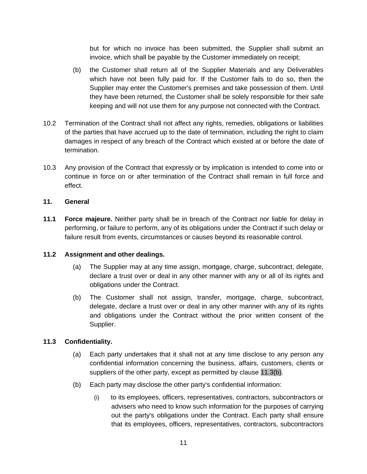but for which no invoice has been submitted, the Supplier shall submit an invoice, which shall be payable by the Customer immediately on receipt;

- (b) the Customer shall return all of the Supplier Materials and any Deliverables which have not been fully paid for. If the Customer fails to do so, then the Supplier may enter the Customer's premises and take possession of them. Until they have been returned, the Customer shall be solely responsible for their safe keeping and will not use them for any purpose not connected with the Contract.
- 10.2 Termination of the Contract shall not affect any rights, remedies, obligations or liabilities of the parties that have accrued up to the date of termination, including the right to claim damages in respect of any breach of the Contract which existed at or before the date of termination.
- 10.3 Any provision of the Contract that expressly or by implication is intended to come into or continue in force on or after termination of the Contract shall remain in full force and effect.

# **11. General**

**11.1 Force majeure.** Neither party shall be in breach of the Contract nor liable for delay in performing, or failure to perform, any of its obligations under the Contract if such delay or failure result from events, circumstances or causes beyond its reasonable control.

# **11.2 Assignment and other dealings.**

- (a) The Supplier may at any time assign, mortgage, charge, subcontract, delegate, declare a trust over or deal in any other manner with any or all of its rights and obligations under the Contract.
- (b) The Customer shall not assign, transfer, mortgage, charge, subcontract, delegate, declare a trust over or deal in any other manner with any of its rights and obligations under the Contract without the prior written consent of the Supplier.

# <span id="page-10-1"></span>**11.3 Confidentiality.**

- (a) Each party undertakes that it shall not at any time disclose to any person any confidential information concerning the business, affairs, customers, clients or suppliers of the other party, except as permitted by [clause 11.3\(b\).](#page-10-0)
- <span id="page-10-0"></span>(b) Each party may disclose the other party's confidential information:
	- (i) to its employees, officers, representatives, contractors, subcontractors or advisers who need to know such information for the purposes of carrying out the party's obligations under the Contract. Each party shall ensure that its employees, officers, representatives, contractors, subcontractors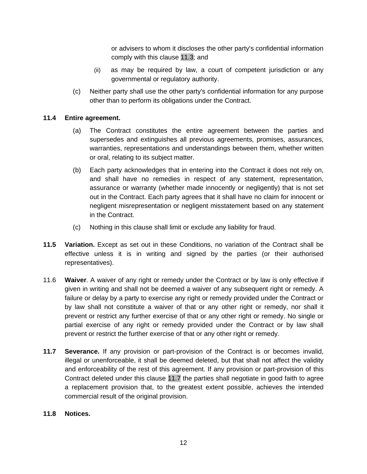or advisers to whom it discloses the other party's confidential information comply with this [clause 11.3;](#page-10-1) and

- (ii) as may be required by law, a court of competent jurisdiction or any governmental or regulatory authority.
- (c) Neither party shall use the other party's confidential information for any purpose other than to perform its obligations under the Contract.

# **11.4 Entire agreement.**

- (a) The Contract constitutes the entire agreement between the parties and supersedes and extinguishes all previous agreements, promises, assurances, warranties, representations and understandings between them, whether written or oral, relating to its subject matter.
- (b) Each party acknowledges that in entering into the Contract it does not rely on, and shall have no remedies in respect of any statement, representation, assurance or warranty (whether made innocently or negligently) that is not set out in the Contract. Each party agrees that it shall have no claim for innocent or negligent misrepresentation or negligent misstatement based on any statement in the Contract.
- (c) Nothing in this clause shall limit or exclude any liability for fraud.
- <span id="page-11-0"></span>**11.5 Variation.** Except as set out in these Conditions, no variation of the Contract shall be effective unless it is in writing and signed by the parties (or their authorised representatives).
- 11.6 **Waiver**. A waiver of any right or remedy under the Contract or by law is only effective if given in writing and shall not be deemed a waiver of any subsequent right or remedy. A failure or delay by a party to exercise any right or remedy provided under the Contract or by law shall not constitute a waiver of that or any other right or remedy, nor shall it prevent or restrict any further exercise of that or any other right or remedy. No single or partial exercise of any right or remedy provided under the Contract or by law shall prevent or restrict the further exercise of that or any other right or remedy.
- <span id="page-11-1"></span>**11.7 Severance.** If any provision or part-provision of the Contract is or becomes invalid, illegal or unenforceable, it shall be deemed deleted, but that shall not affect the validity and enforceability of the rest of this agreement. If any provision or part-provision of this Contract deleted under this [clause 11.7](#page-11-1) the parties shall negotiate in good faith to agree a replacement provision that, to the greatest extent possible, achieves the intended commercial result of the original provision.

# <span id="page-11-2"></span>**11.8 Notices.**